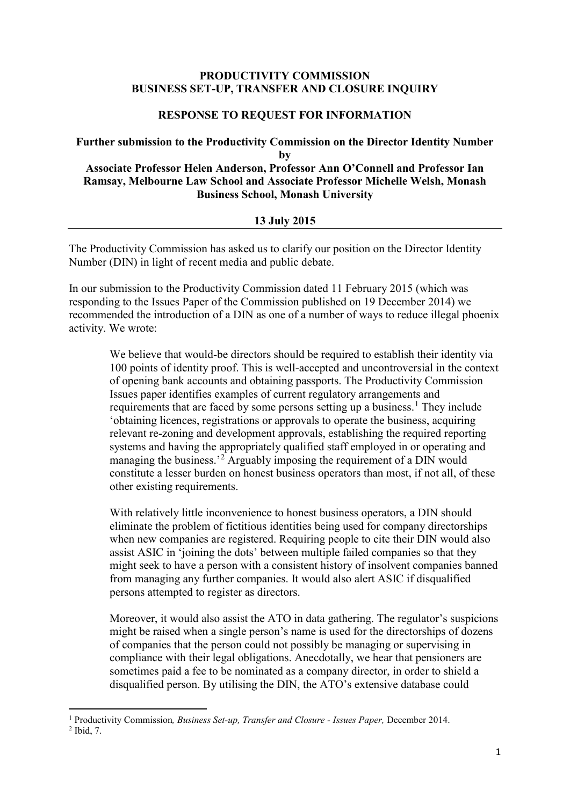## **PRODUCTIVITY COMMISSION BUSINESS SET-UP, TRANSFER AND CLOSURE INQUIRY**

## **RESPONSE TO REQUEST FOR INFORMATION**

## **Further submission to the Productivity Commission on the Director Identity Number by Associate Professor Helen Anderson, Professor Ann O'Connell and Professor Ian Ramsay, Melbourne Law School and Associate Professor Michelle Welsh, Monash Business School, Monash University**

## **13 July 2015**

The Productivity Commission has asked us to clarify our position on the Director Identity Number (DIN) in light of recent media and public debate.

In our submission to the Productivity Commission dated 11 February 2015 (which was responding to the Issues Paper of the Commission published on 19 December 2014) we recommended the introduction of a DIN as one of a number of ways to reduce illegal phoenix activity. We wrote:

We believe that would-be directors should be required to establish their identity via 100 points of identity proof. This is well-accepted and uncontroversial in the context of opening bank accounts and obtaining passports. The Productivity Commission Issues paper identifies examples of current regulatory arrangements and requirements that are faced by some persons setting up a business.<sup>[1](#page-0-0)</sup> They include 'obtaining licences, registrations or approvals to operate the business, acquiring relevant re-zoning and development approvals, establishing the required reporting systems and having the appropriately qualified staff employed in or operating and managing the business.<sup>[2](#page-0-1)</sup> Arguably imposing the requirement of a DIN would constitute a lesser burden on honest business operators than most, if not all, of these other existing requirements.

With relatively little inconvenience to honest business operators, a DIN should eliminate the problem of fictitious identities being used for company directorships when new companies are registered. Requiring people to cite their DIN would also assist ASIC in 'joining the dots' between multiple failed companies so that they might seek to have a person with a consistent history of insolvent companies banned from managing any further companies. It would also alert ASIC if disqualified persons attempted to register as directors.

Moreover, it would also assist the ATO in data gathering. The regulator's suspicions might be raised when a single person's name is used for the directorships of dozens of companies that the person could not possibly be managing or supervising in compliance with their legal obligations. Anecdotally, we hear that pensioners are sometimes paid a fee to be nominated as a company director, in order to shield a disqualified person. By utilising the DIN, the ATO's extensive database could

**.** 

<span id="page-0-0"></span><sup>1</sup> Productivity Commission*, Business Set-up, Transfer and Closure - Issues Paper,* December 2014.

<span id="page-0-1"></span><sup>2</sup> Ibid, 7.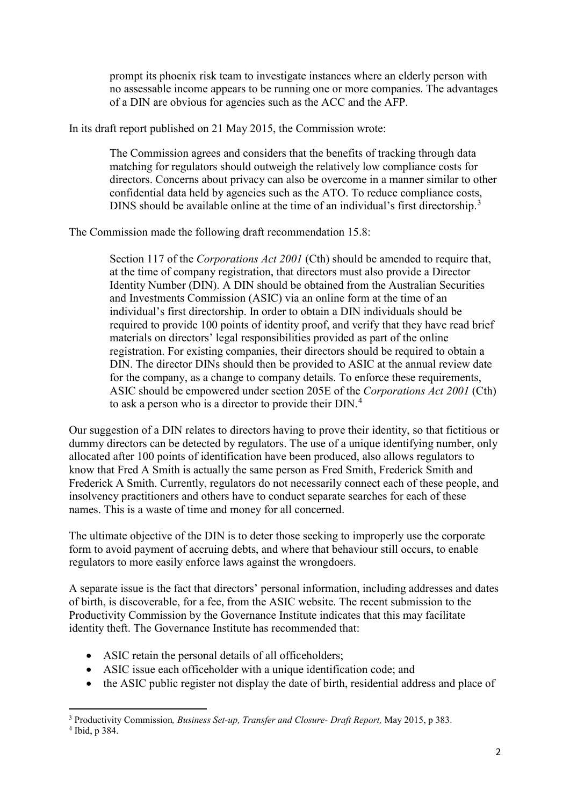prompt its phoenix risk team to investigate instances where an elderly person with no assessable income appears to be running one or more companies. The advantages of a DIN are obvious for agencies such as the ACC and the AFP.

In its draft report published on 21 May 2015, the Commission wrote:

The Commission agrees and considers that the benefits of tracking through data matching for regulators should outweigh the relatively low compliance costs for directors. Concerns about privacy can also be overcome in a manner similar to other confidential data held by agencies such as the ATO. To reduce compliance costs, DINS should be available online at the time of an individual's first directorship.<sup>[3](#page-1-0)</sup>

The Commission made the following draft recommendation 15.8:

Section 117 of the *Corporations Act 2001* (Cth) should be amended to require that, at the time of company registration, that directors must also provide a Director Identity Number (DIN). A DIN should be obtained from the Australian Securities and Investments Commission (ASIC) via an online form at the time of an individual's first directorship. In order to obtain a DIN individuals should be required to provide 100 points of identity proof, and verify that they have read brief materials on directors' legal responsibilities provided as part of the online registration. For existing companies, their directors should be required to obtain a DIN. The director DINs should then be provided to ASIC at the annual review date for the company, as a change to company details. To enforce these requirements, ASIC should be empowered under section 205E of the *Corporations Act 2001* (Cth) to ask a person who is a director to provide their DIN.<sup>[4](#page-1-1)</sup>

Our suggestion of a DIN relates to directors having to prove their identity, so that fictitious or dummy directors can be detected by regulators. The use of a unique identifying number, only allocated after 100 points of identification have been produced, also allows regulators to know that Fred A Smith is actually the same person as Fred Smith, Frederick Smith and Frederick A Smith. Currently, regulators do not necessarily connect each of these people, and insolvency practitioners and others have to conduct separate searches for each of these names. This is a waste of time and money for all concerned.

The ultimate objective of the DIN is to deter those seeking to improperly use the corporate form to avoid payment of accruing debts, and where that behaviour still occurs, to enable regulators to more easily enforce laws against the wrongdoers.

A separate issue is the fact that directors' personal information, including addresses and dates of birth, is discoverable, for a fee, from the ASIC website. The recent submission to the Productivity Commission by the Governance Institute indicates that this may facilitate identity theft. The Governance Institute has recommended that:

- ASIC retain the personal details of all officeholders;
- ASIC issue each officeholder with a unique identification code; and
- the ASIC public register not display the date of birth, residential address and place of

<span id="page-1-1"></span><sup>4</sup> Ibid, p 384.

**.** 

<span id="page-1-0"></span><sup>3</sup> Productivity Commission*, Business Set-up, Transfer and Closure- Draft Report,* May 2015, p 383.